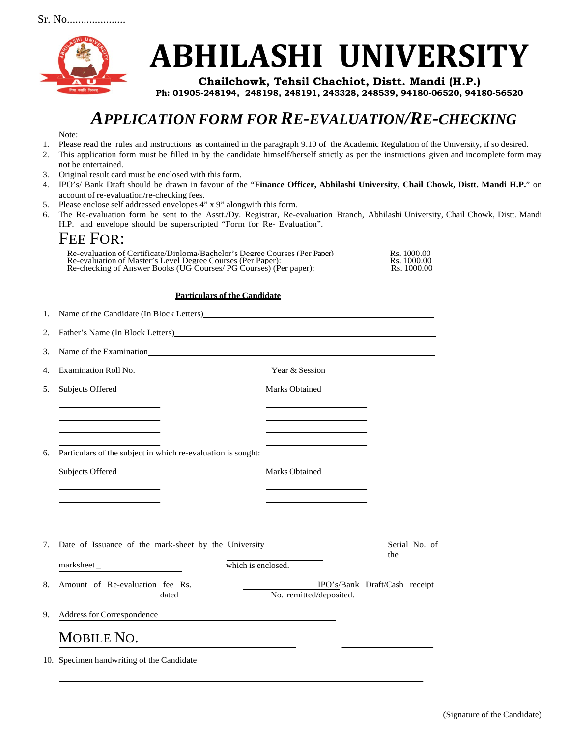

# **ABHILASHI UNIVERSITY**

**Chailchowk, Tehsil Chachiot, Distt. Mandi (H.P.) Ph: 01905-248194, 248198, 248191, 243328, 248539, 94180-06520, 94180-56520**

## *APPLICATION FORM FOR RE-EVALUATION/RE-CHECKING*

Note:

- 1. Please read the rules and instructions as contained in the paragraph 9.10 of the Academic Regulation of the University, if so desired.
- 2. This application form must be filled in by the candidate himself/herself strictly as per the instructions given and incomplete form may not be entertained.
- 3. Original result card must be enclosed with this form.
- 4. IPO's/ Bank Draft should be drawn in favour of the "**Finance Officer, Abhilashi University, Chail Chowk, Distt. Mandi H.P.**" on account of re-evaluation/re-checking fees.
- 5. Please enclose self addressed envelopes 4" x 9" alongwith this form.
- 6. The Re-evaluation form be sent to the Asstt./Dy. Registrar, Re-evaluation Branch, Abhilashi University, Chail Chowk, Distt. Mandi H.P. and envelope should be superscripted "Form for Re- Evaluation".

### FEE FOR:

| Re-evaluation of Certificate/Diploma/Bachelor's Degree Courses (Per Paper) | Rs. 1000.00 |
|----------------------------------------------------------------------------|-------------|
| Re-evaluation of Master's Level Degree Courses (Per Paper):                | Rs. 1000.00 |
| Re-checking of Answer Books (UG Courses/ PG Courses) (Per paper):          | Rs. 1000.00 |

#### **Particulars of the Candidate**

| 1. | Name of the Candidate (In Block Letters) has a series of the Candidate (In Block Letters)                                                                                                                                                                                             |                                                                            |                               |  |
|----|---------------------------------------------------------------------------------------------------------------------------------------------------------------------------------------------------------------------------------------------------------------------------------------|----------------------------------------------------------------------------|-------------------------------|--|
| 2. |                                                                                                                                                                                                                                                                                       |                                                                            |                               |  |
| 3. | Name of the Examination Manual Community of the Examination                                                                                                                                                                                                                           |                                                                            |                               |  |
| 4. |                                                                                                                                                                                                                                                                                       |                                                                            |                               |  |
| 5. | <b>Subjects Offered</b>                                                                                                                                                                                                                                                               | <b>Marks Obtained</b>                                                      |                               |  |
|    |                                                                                                                                                                                                                                                                                       |                                                                            |                               |  |
|    |                                                                                                                                                                                                                                                                                       |                                                                            |                               |  |
| 6. | Particulars of the subject in which re-evaluation is sought:                                                                                                                                                                                                                          |                                                                            |                               |  |
|    | Subjects Offered                                                                                                                                                                                                                                                                      | Marks Obtained                                                             |                               |  |
|    | the control of the control of the control of the control of the control of                                                                                                                                                                                                            | the control of the control of the control of the control of the control of |                               |  |
|    |                                                                                                                                                                                                                                                                                       |                                                                            |                               |  |
|    |                                                                                                                                                                                                                                                                                       |                                                                            |                               |  |
| 7. | Date of Issuance of the mark-sheet by the University<br>Serial No. of<br>the                                                                                                                                                                                                          |                                                                            |                               |  |
|    | marksheet_                                                                                                                                                                                                                                                                            | which is enclosed.                                                         |                               |  |
| 8. | Amount of Re-evaluation fee Rs.                                                                                                                                                                                                                                                       |                                                                            | IPO's/Bank Draft/Cash receipt |  |
|    | dated and the set of the set of the set of the set of the set of the set of the set of the set of the set of the set of the set of the set of the set of the set of the set of the set of the set of the set of the set of the<br><u> 1990 - Jan Barbara Barat, politik politik (</u> | No. remitted/deposited.                                                    |                               |  |
| 9. | Address for Correspondence<br><u> 1989 - Johann John Stein, mars an de Frankrik (f. 1989)</u>                                                                                                                                                                                         |                                                                            |                               |  |
|    | MOBILE NO.                                                                                                                                                                                                                                                                            |                                                                            |                               |  |
|    | 10. Specimen handwriting of the Candidate                                                                                                                                                                                                                                             |                                                                            |                               |  |
|    |                                                                                                                                                                                                                                                                                       |                                                                            |                               |  |

(Signature of the Candidate)